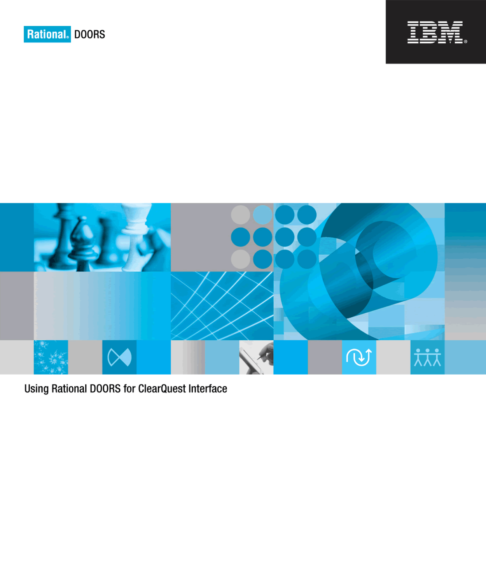





**Using Rational DOORS for ClearQuest Interface**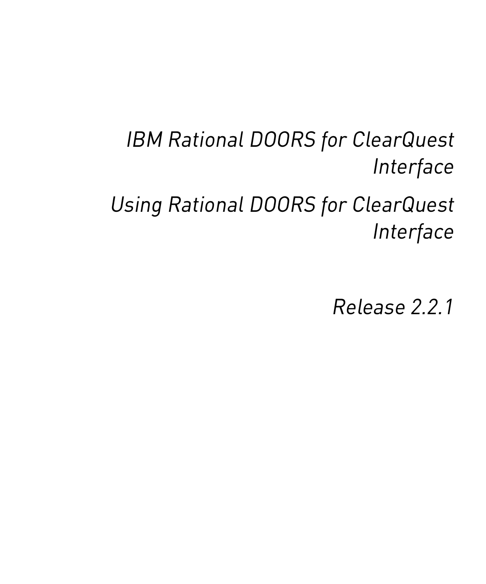## *IBM Rational DOORS for ClearQuest Interface Using Rational DOORS for ClearQuest Interface*

*Release 2.2.1*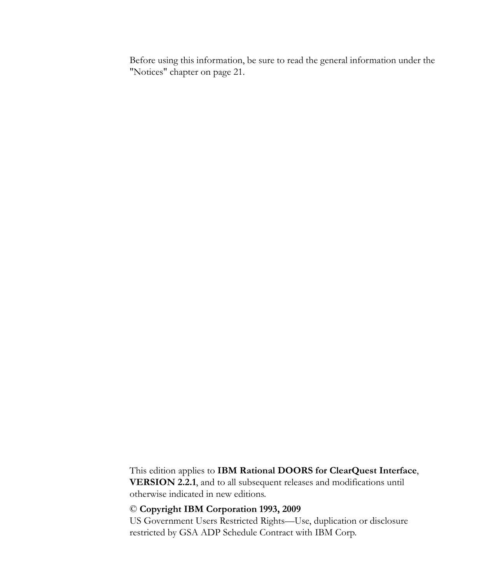Before using this information, be sure to read the general information under the ["Notices" chapter on page 21.](#page-26-0)

This edition applies to **IBM Rational DOORS for ClearQuest Interface**, **VERSION 2.2.1**, and to all subsequent releases and modifications until otherwise indicated in new editions.

#### © **Copyright IBM Corporation 1993, 2009**

US Government Users Restricted Rights—Use, duplication or disclosure restricted by GSA ADP Schedule Contract with IBM Corp.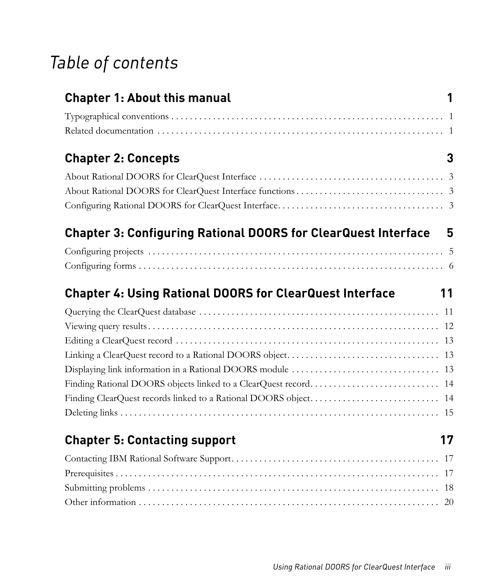## *Table of contents*

| <b>Chapter 1: About this manual</b>                                   | 1 |
|-----------------------------------------------------------------------|---|
|                                                                       |   |
|                                                                       |   |
| <b>Chapter 2: Concepts</b>                                            | 3 |
|                                                                       |   |
|                                                                       |   |
|                                                                       |   |
| <b>Chapter 3: Configuring Rational DOORS for ClearQuest Interface</b> | 5 |
|                                                                       |   |
|                                                                       |   |
| <b>Chapter 4: Using Rational DOORS for ClearQuest Interface</b><br>11 |   |
|                                                                       |   |
|                                                                       |   |
|                                                                       |   |
|                                                                       |   |
|                                                                       |   |
|                                                                       |   |
|                                                                       |   |
|                                                                       |   |
| <b>Chapter 5: Contacting support</b><br>17                            |   |
|                                                                       |   |
|                                                                       |   |
|                                                                       |   |
|                                                                       |   |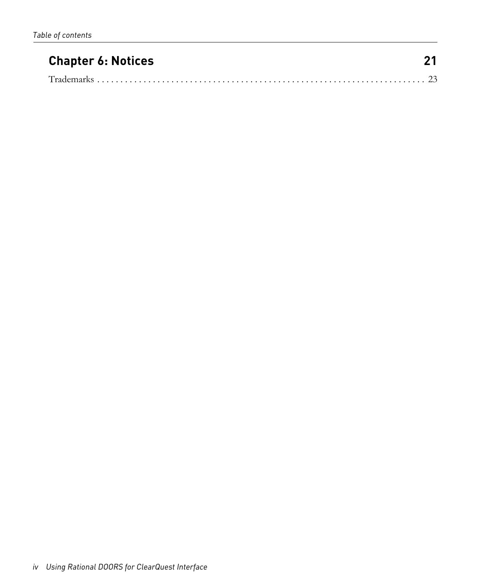## **[Chapter 6: Notices 21](#page-26-1)** [Trademarks . . . . . . . . . . . . . . . . . . . . . . . . . . . . . . . . . . . . . . . . . . . . . . . . . . . . . . . . . . . . . . . . . . . . . . . 23](#page-28-0)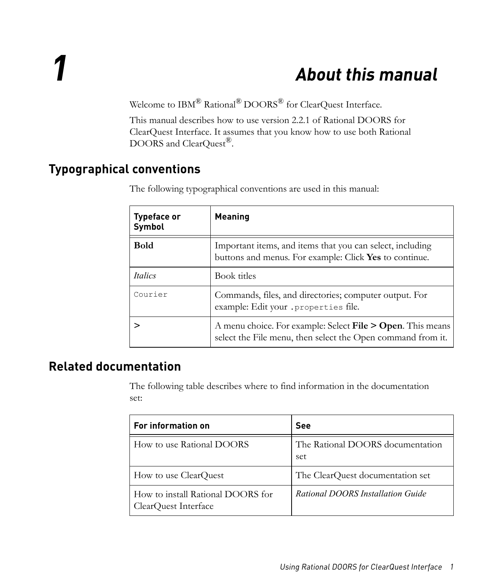## *1 About this manual*

<span id="page-6-0"></span>Welcome to IBM® Rational® DOORS® for ClearQuest Interface.

This manual describes how to use version 2.2.1 of Rational DOORS for ClearQuest Interface. It assumes that you know how to use both Rational DOORS and ClearQuest<sup>®</sup>.

## <span id="page-6-1"></span>**Typographical conventions**

| <b>Typeface or</b><br>Symbol | <b>Meaning</b>                                                                                                            |
|------------------------------|---------------------------------------------------------------------------------------------------------------------------|
| <b>Bold</b>                  | Important items, and items that you can select, including<br>buttons and menus. For example: Click Yes to continue.       |
| <i>Italics</i>               | Book titles                                                                                                               |
| Courier                      | Commands, files, and directories; computer output. For<br>example: Edit your . properties file.                           |
|                              | A menu choice. For example: Select File > Open. This means<br>select the File menu, then select the Open command from it. |

The following typographical conventions are used in this manual:

## <span id="page-6-2"></span>**Related documentation**

The following table describes where to find information in the documentation set:

| For information on                                        | <b>See</b>                              |
|-----------------------------------------------------------|-----------------------------------------|
| How to use Rational DOORS                                 | The Rational DOORS documentation<br>set |
| How to use ClearQuest                                     | The ClearQuest documentation set        |
| How to install Rational DOORS for<br>ClearQuest Interface | Rational DOORS Installation Guide       |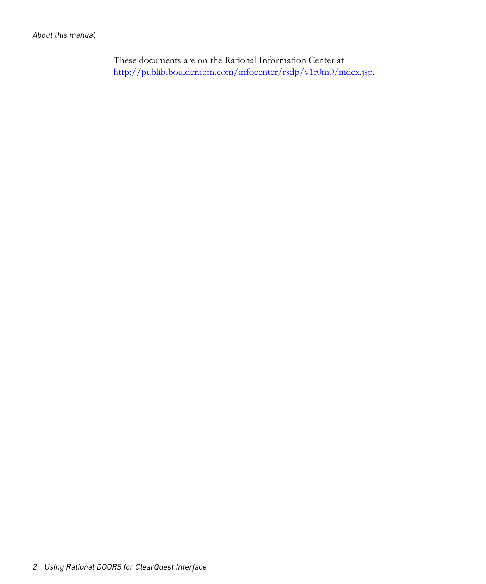These documents are on the Rational Information Center at http://publib.boulder.ibm.com/infocenter/rsdp/v1r0m0/index.jsp.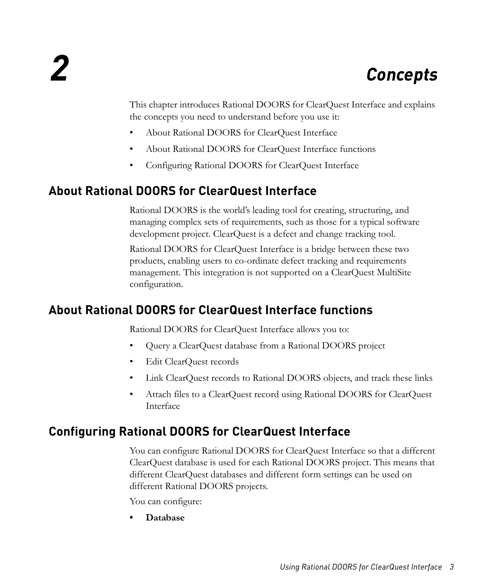# <span id="page-8-0"></span>*2 Concepts*

This chapter introduces Rational DOORS for ClearQuest Interface and explains the concepts you need to understand before you use it:

- [About Rational DOORS for ClearQuest Interface](#page-8-1)
- [About Rational DOORS for ClearQuest Interface functions](#page-8-2)
- [Configuring Rational DOORS for ClearQuest Interface](#page-8-3)

## <span id="page-8-6"></span><span id="page-8-1"></span>**About Rational DOORS for ClearQuest Interface**

Rational DOORS is the world's leading tool for creating, structuring, and managing complex sets of requirements, such as those for a typical software development project. ClearQuest is a defect and change tracking tool.

Rational DOORS for ClearQuest Interface is a bridge between these two products, enabling users to co-ordinate defect tracking and requirements management. This integration is not supported on a ClearQuest MultiSite configuration.

## <span id="page-8-5"></span><span id="page-8-2"></span>**About Rational DOORS for ClearQuest Interface functions**

Rational DOORS for ClearQuest Interface allows you to:

- Query a ClearQuest database from a Rational DOORS project
- Edit ClearQuest records
- Link ClearQuest records to Rational DOORS objects, and track these links
- Attach files to a ClearQuest record using Rational DOORS for ClearQuest Interface

## <span id="page-8-4"></span><span id="page-8-3"></span>**Configuring Rational DOORS for ClearQuest Interface**

You can configure Rational DOORS for ClearQuest Interface so that a different ClearQuest database is used for each Rational DOORS project. This means that different ClearQuest databases and different form settings can be used on different Rational DOORS projects.

You can configure:

**• Database**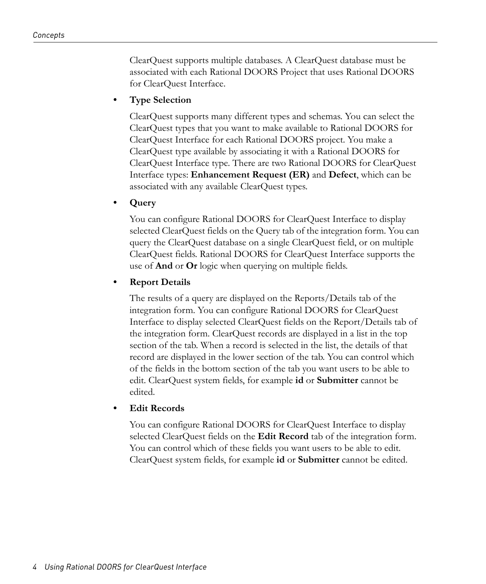ClearQuest supports multiple databases. A ClearQuest database must be associated with each Rational DOORS Project that uses Rational DOORS for ClearQuest Interface.

#### **• Type Selection**

ClearQuest supports many different types and schemas. You can select the ClearQuest types that you want to make available to Rational DOORS for ClearQuest Interface for each Rational DOORS project. You make a ClearQuest type available by associating it with a Rational DOORS for ClearQuest Interface type. There are two Rational DOORS for ClearQuest Interface types: **Enhancement Request (ER)** and **Defect**, which can be associated with any available ClearQuest types.

#### **• Query**

You can configure Rational DOORS for ClearQuest Interface to display selected ClearQuest fields on the Query tab of the integration form. You can query the ClearQuest database on a single ClearQuest field, or on multiple ClearQuest fields. Rational DOORS for ClearQuest Interface supports the use of **And** or **Or** logic when querying on multiple fields.

#### **• Report Details**

The results of a query are displayed on the Reports/Details tab of the integration form. You can configure Rational DOORS for ClearQuest Interface to display selected ClearQuest fields on the Report/Details tab of the integration form. ClearQuest records are displayed in a list in the top section of the tab. When a record is selected in the list, the details of that record are displayed in the lower section of the tab. You can control which of the fields in the bottom section of the tab you want users to be able to edit. ClearQuest system fields, for example **id** or **Submitter** cannot be edited.

#### **• Edit Records**

You can configure Rational DOORS for ClearQuest Interface to display selected ClearQuest fields on the **Edit Record** tab of the integration form. You can control which of these fields you want users to be able to edit. ClearQuest system fields, for example **id** or **Submitter** cannot be edited.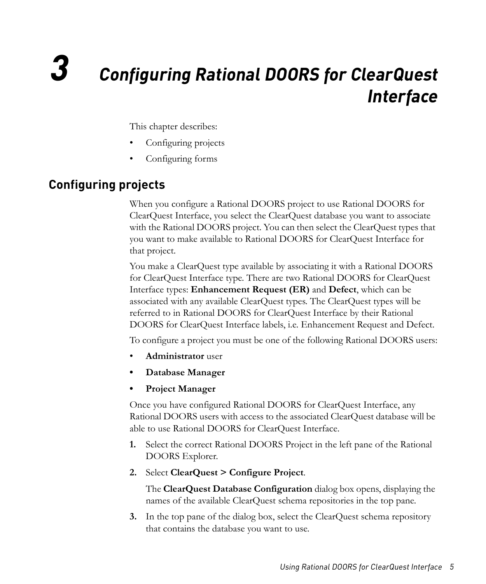## <span id="page-10-0"></span>*3 Configuring Rational DOORS for ClearQuest Interface*

This chapter describes:

- [Configuring projects](#page-10-1)
- [Configuring forms](#page-11-0)

## <span id="page-10-2"></span><span id="page-10-1"></span>**Configuring projects**

When you configure a Rational DOORS project to use Rational DOORS for ClearQuest Interface, you select the ClearQuest database you want to associate with the Rational DOORS project. You can then select the ClearQuest types that you want to make available to Rational DOORS for ClearQuest Interface for that project.

You make a ClearQuest type available by associating it with a Rational DOORS for ClearQuest Interface type. There are two Rational DOORS for ClearQuest Interface types: **Enhancement Request (ER)** and **Defect**, which can be associated with any available ClearQuest types. The ClearQuest types will be referred to in Rational DOORS for ClearQuest Interface by their Rational DOORS for ClearQuest Interface labels, i.e. Enhancement Request and Defect.

To configure a project you must be one of the following Rational DOORS users:

- **Administrator** user
- **Database Manager**
- **Project Manager**

Once you have configured Rational DOORS for ClearQuest Interface, any Rational DOORS users with access to the associated ClearQuest database will be able to use Rational DOORS for ClearQuest Interface.

- **1.** Select the correct Rational DOORS Project in the left pane of the Rational DOORS Explorer.
- **2.** Select **ClearQuest > Configure Project**.

The **ClearQuest Database Configuration** dialog box opens, displaying the names of the available ClearQuest schema repositories in the top pane.

**3.** In the top pane of the dialog box, select the ClearQuest schema repository that contains the database you want to use.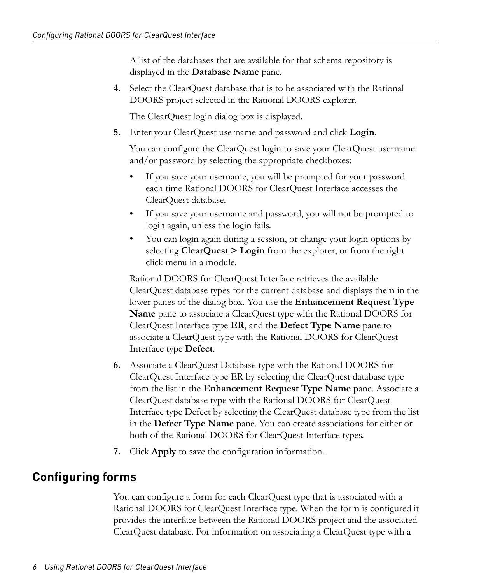A list of the databases that are available for that schema repository is displayed in the **Database Name** pane.

**4.** Select the ClearQuest database that is to be associated with the Rational DOORS project selected in the Rational DOORS explorer.

The ClearQuest login dialog box is displayed.

**5.** Enter your ClearQuest username and password and click **Login**.

You can configure the ClearQuest login to save your ClearQuest username and/or password by selecting the appropriate checkboxes:

- If you save your username, you will be prompted for your password each time Rational DOORS for ClearQuest Interface accesses the ClearQuest database.
- If you save your username and password, you will not be prompted to login again, unless the login fails.
- You can login again during a session, or change your login options by selecting **ClearQuest > Login** from the explorer, or from the right click menu in a module.

Rational DOORS for ClearQuest Interface retrieves the available ClearQuest database types for the current database and displays them in the lower panes of the dialog box. You use the **Enhancement Request Type Name** pane to associate a ClearQuest type with the Rational DOORS for ClearQuest Interface type **ER**, and the **Defect Type Name** pane to associate a ClearQuest type with the Rational DOORS for ClearQuest Interface type **Defect**.

- **6.** Associate a ClearQuest Database type with the Rational DOORS for ClearQuest Interface type ER by selecting the ClearQuest database type from the list in the **Enhancement Request Type Name** pane. Associate a ClearQuest database type with the Rational DOORS for ClearQuest Interface type Defect by selecting the ClearQuest database type from the list in the **Defect Type Name** pane. You can create associations for either or both of the Rational DOORS for ClearQuest Interface types.
- **7.** Click **Apply** to save the configuration information.

## <span id="page-11-1"></span><span id="page-11-0"></span>**Configuring forms**

You can configure a form for each ClearQuest type that is associated with a Rational DOORS for ClearQuest Interface type. When the form is configured it provides the interface between the Rational DOORS project and the associated ClearQuest database. For information on associating a ClearQuest type with a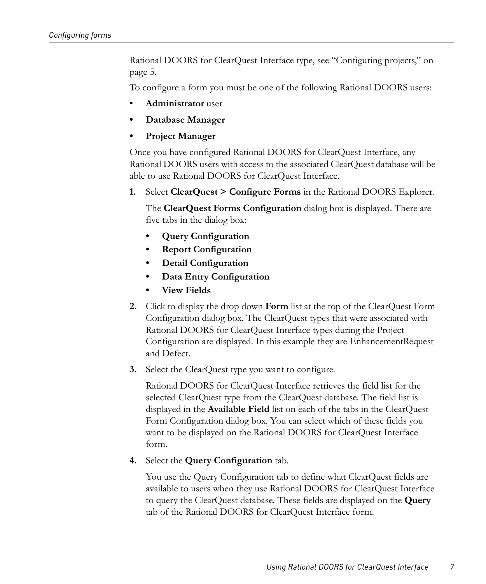Rational DOORS for ClearQuest Interface type, see ["Configuring projects," on](#page-10-1)  [page 5.](#page-10-1)

To configure a form you must be one of the following Rational DOORS users:

- **Administrator** user
- **Database Manager**
- **Project Manager**

Once you have configured Rational DOORS for ClearQuest Interface, any Rational DOORS users with access to the associated ClearQuest database will be able to use Rational DOORS for ClearQuest Interface.

**1.** Select **ClearQuest > Configure Forms** in the Rational DOORS Explorer.

The **ClearQuest Forms Configuration** dialog box is displayed. There are five tabs in the dialog box:

- **Query Configuration**
- **Report Configuration**
- **Detail Configuration**
- **Data Entry Configuration**
- **View Fields**
- **2.** Click to display the drop down **Form** list at the top of the ClearQuest Form Configuration dialog box. The ClearQuest types that were associated with Rational DOORS for ClearQuest Interface types during the Project Configuration are displayed. In this example they are EnhancementRequest and Defect.
- **3.** Select the ClearQuest type you want to configure.

Rational DOORS for ClearQuest Interface retrieves the field list for the selected ClearQuest type from the ClearQuest database. The field list is displayed in the **Available Field** list on each of the tabs in the ClearQuest Form Configuration dialog box. You can select which of these fields you want to be displayed on the Rational DOORS for ClearQuest Interface form.

**4.** Select the **Query Configuration** tab.

You use the Query Configuration tab to define what ClearQuest fields are available to users when they use Rational DOORS for ClearQuest Interface to query the ClearQuest database. These fields are displayed on the **Query** tab of the Rational DOORS for ClearQuest Interface form.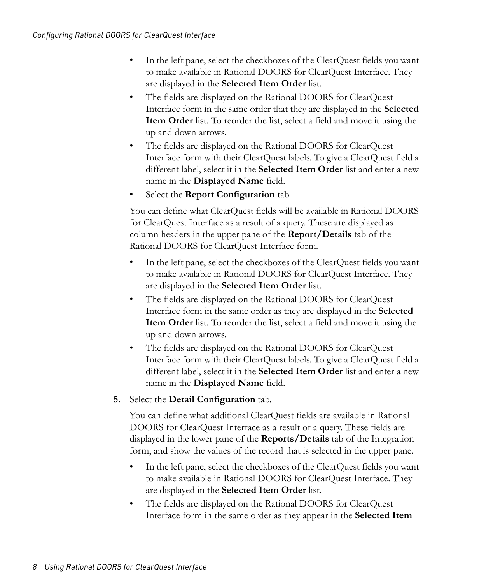- In the left pane, select the checkboxes of the ClearQuest fields you want to make available in Rational DOORS for ClearQuest Interface. They are displayed in the **Selected Item Order** list.
- The fields are displayed on the Rational DOORS for ClearQuest Interface form in the same order that they are displayed in the **Selected Item Order** list. To reorder the list, select a field and move it using the up and down arrows.
- The fields are displayed on the Rational DOORS for ClearQuest Interface form with their ClearQuest labels. To give a ClearQuest field a different label, select it in the **Selected Item Order** list and enter a new name in the **Displayed Name** field.
- Select the **Report Configuration** tab.

You can define what ClearQuest fields will be available in Rational DOORS for ClearQuest Interface as a result of a query. These are displayed as column headers in the upper pane of the **Report/Details** tab of the Rational DOORS for ClearQuest Interface form.

- In the left pane, select the checkboxes of the ClearQuest fields you want to make available in Rational DOORS for ClearQuest Interface. They are displayed in the **Selected Item Order** list.
- The fields are displayed on the Rational DOORS for ClearQuest Interface form in the same order as they are displayed in the **Selected Item Order** list. To reorder the list, select a field and move it using the up and down arrows.
- The fields are displayed on the Rational DOORS for ClearQuest Interface form with their ClearQuest labels. To give a ClearQuest field a different label, select it in the **Selected Item Order** list and enter a new name in the **Displayed Name** field.
- **5.** Select the **Detail Configuration** tab.

You can define what additional ClearQuest fields are available in Rational DOORS for ClearQuest Interface as a result of a query. These fields are displayed in the lower pane of the **Reports/Details** tab of the Integration form, and show the values of the record that is selected in the upper pane.

- In the left pane, select the checkboxes of the ClearQuest fields you want to make available in Rational DOORS for ClearQuest Interface. They are displayed in the **Selected Item Order** list.
- The fields are displayed on the Rational DOORS for ClearQuest Interface form in the same order as they appear in the **Selected Item**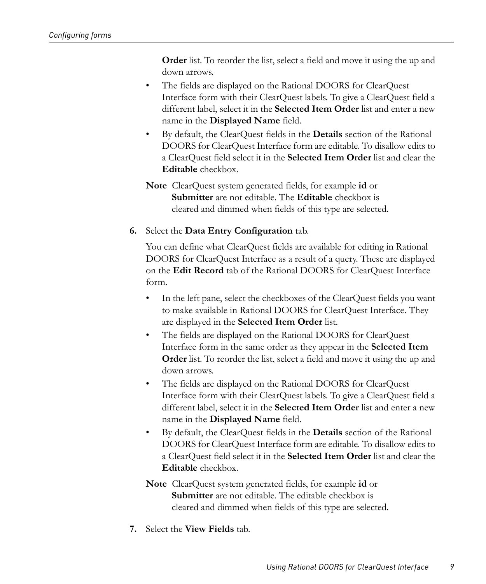**Order** list. To reorder the list, select a field and move it using the up and down arrows.

- The fields are displayed on the Rational DOORS for ClearQuest Interface form with their ClearQuest labels. To give a ClearQuest field a different label, select it in the **Selected Item Order** list and enter a new name in the **Displayed Name** field.
- By default, the ClearQuest fields in the **Details** section of the Rational DOORS for ClearQuest Interface form are editable. To disallow edits to a ClearQuest field select it in the **Selected Item Order** list and clear the **Editable** checkbox.
- **Note** ClearQuest system generated fields, for example **id** or **Submitter** are not editable. The **Editable** checkbox is cleared and dimmed when fields of this type are selected.

#### **6.** Select the **Data Entry Configuration** tab.

You can define what ClearQuest fields are available for editing in Rational DOORS for ClearQuest Interface as a result of a query. These are displayed on the **Edit Record** tab of the Rational DOORS for ClearQuest Interface form.

- In the left pane, select the checkboxes of the ClearQuest fields you want to make available in Rational DOORS for ClearQuest Interface. They are displayed in the **Selected Item Order** list.
- The fields are displayed on the Rational DOORS for ClearQuest Interface form in the same order as they appear in the **Selected Item Order** list. To reorder the list, select a field and move it using the up and down arrows.
- The fields are displayed on the Rational DOORS for ClearQuest Interface form with their ClearQuest labels. To give a ClearQuest field a different label, select it in the **Selected Item Order** list and enter a new name in the **Displayed Name** field.
- By default, the ClearQuest fields in the **Details** section of the Rational DOORS for ClearQuest Interface form are editable. To disallow edits to a ClearQuest field select it in the **Selected Item Order** list and clear the **Editable** checkbox.
- **Note** ClearQuest system generated fields, for example **id** or **Submitter** are not editable. The editable checkbox is cleared and dimmed when fields of this type are selected.
- **7.** Select the **View Fields** tab.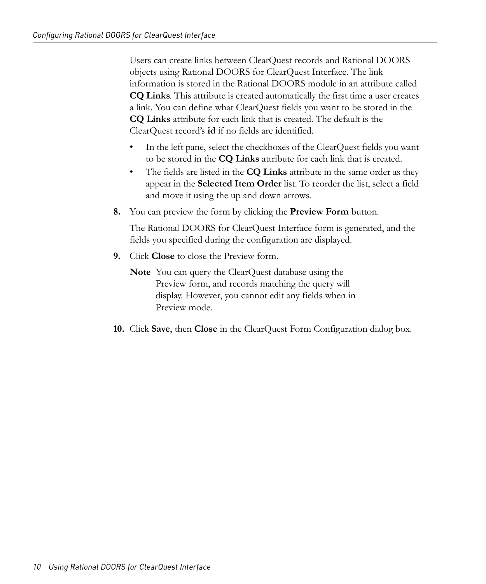Users can create links between ClearQuest records and Rational DOORS objects using Rational DOORS for ClearQuest Interface. The link information is stored in the Rational DOORS module in an attribute called **CQ Links**. This attribute is created automatically the first time a user creates a link. You can define what ClearQuest fields you want to be stored in the **CQ Links** attribute for each link that is created. The default is the ClearQuest record's **id** if no fields are identified.

- In the left pane, select the checkboxes of the ClearQuest fields you want to be stored in the **CQ Links** attribute for each link that is created.
- The fields are listed in the **CQ Links** attribute in the same order as they appear in the **Selected Item Order** list. To reorder the list, select a field and move it using the up and down arrows.
- **8.** You can preview the form by clicking the **Preview Form** button.

The Rational DOORS for ClearQuest Interface form is generated, and the fields you specified during the configuration are displayed.

- **9.** Click **Close** to close the Preview form.
	- **Note** You can query the ClearQuest database using the Preview form, and records matching the query will display. However, you cannot edit any fields when in Preview mode.
- **10.** Click **Save**, then **Close** in the ClearQuest Form Configuration dialog box.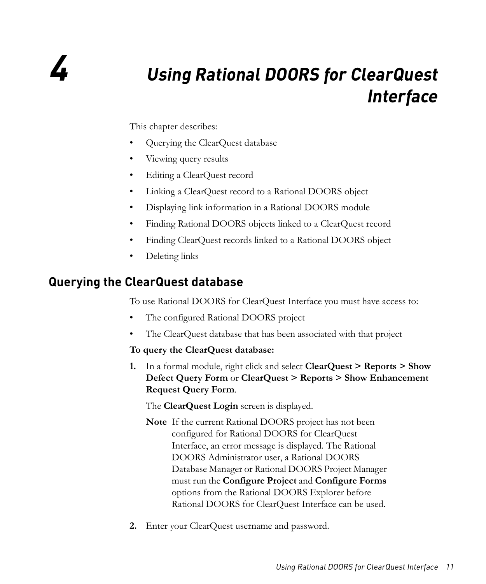## <span id="page-16-0"></span>*4 Using Rational DOORS for ClearQuest Interface*

This chapter describes:

- [Querying the ClearQuest database](#page-16-1)
- [Viewing query results](#page-17-0)
- [Editing a ClearQuest record](#page-18-0)
- [Linking a ClearQuest record to a Rational DOORS object](#page-18-1)
- [Displaying link information in a Rational DOORS module](#page-18-2)
- [Finding Rational DOORS objects linked to a ClearQuest record](#page-19-0)
- [Finding ClearQuest records linked to a Rational DOORS object](#page-19-1)
- [Deleting links](#page-20-0)

## <span id="page-16-2"></span><span id="page-16-1"></span>**Querying the ClearQuest database**

To use Rational DOORS for ClearQuest Interface you must have access to:

- The configured Rational DOORS project
- The ClearQuest database that has been associated with that project

#### **To query the ClearQuest database:**

**1.** In a formal module, right click and select **ClearQuest > Reports > Show Defect Query Form** or **ClearQuest > Reports > Show Enhancement Request Query Form**.

The **ClearQuest Login** screen is displayed.

- **Note** If the current Rational DOORS project has not been configured for Rational DOORS for ClearQuest Interface, an error message is displayed. The Rational DOORS Administrator user, a Rational DOORS Database Manager or Rational DOORS Project Manager must run the **Configure Project** and **Configure Forms** options from the Rational DOORS Explorer before Rational DOORS for ClearQuest Interface can be used.
- **2.** Enter your ClearQuest username and password.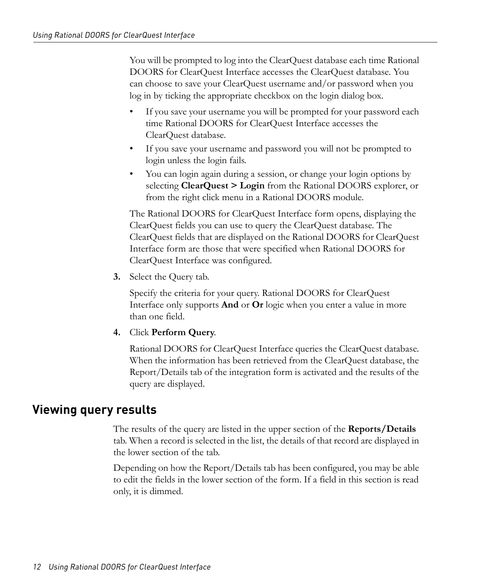You will be prompted to log into the ClearQuest database each time Rational DOORS for ClearQuest Interface accesses the ClearQuest database. You can choose to save your ClearQuest username and/or password when you log in by ticking the appropriate checkbox on the login dialog box.

- If you save your username you will be prompted for your password each time Rational DOORS for ClearQuest Interface accesses the ClearQuest database.
- If you save your username and password you will not be prompted to login unless the login fails.
- You can login again during a session, or change your login options by selecting **ClearQuest > Login** from the Rational DOORS explorer, or from the right click menu in a Rational DOORS module.

The Rational DOORS for ClearQuest Interface form opens, displaying the ClearQuest fields you can use to query the ClearQuest database. The ClearQuest fields that are displayed on the Rational DOORS for ClearQuest Interface form are those that were specified when Rational DOORS for ClearQuest Interface was configured.

**3.** Select the Query tab.

Specify the criteria for your query. Rational DOORS for ClearQuest Interface only supports **And** or **Or** logic when you enter a value in more than one field.

#### **4.** Click **Perform Query**.

Rational DOORS for ClearQuest Interface queries the ClearQuest database. When the information has been retrieved from the ClearQuest database, the Report/Details tab of the integration form is activated and the results of the query are displayed.

### <span id="page-17-1"></span><span id="page-17-0"></span>**Viewing query results**

The results of the query are listed in the upper section of the **Reports/Details** tab. When a record is selected in the list, the details of that record are displayed in the lower section of the tab.

Depending on how the Report/Details tab has been configured, you may be able to edit the fields in the lower section of the form. If a field in this section is read only, it is dimmed.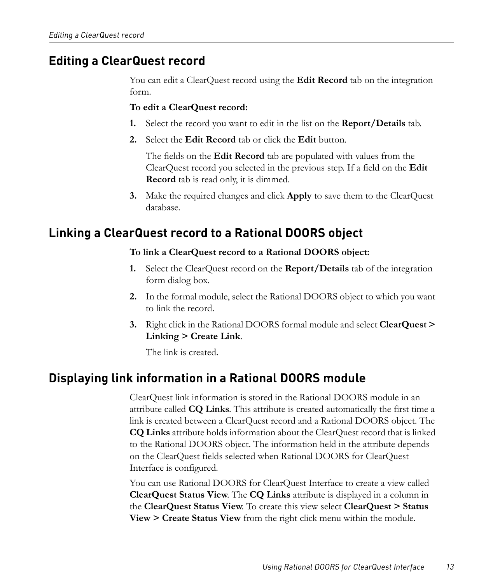## <span id="page-18-3"></span><span id="page-18-0"></span>**Editing a ClearQuest record**

You can edit a ClearQuest record using the **Edit Record** tab on the integration form.

#### **To edit a ClearQuest record:**

- **1.** Select the record you want to edit in the list on the **Report/Details** tab.
- **2.** Select the **Edit Record** tab or click the **Edit** button.

The fields on the **Edit Record** tab are populated with values from the ClearQuest record you selected in the previous step. If a field on the **Edit Record** tab is read only, it is dimmed.

**3.** Make the required changes and click **Apply** to save them to the ClearQuest database.

## <span id="page-18-4"></span><span id="page-18-1"></span>**Linking a ClearQuest record to a Rational DOORS object**

#### **To link a ClearQuest record to a Rational DOORS object:**

- **1.** Select the ClearQuest record on the **Report/Details** tab of the integration form dialog box.
- **2.** In the formal module, select the Rational DOORS object to which you want to link the record.
- **3.** Right click in the Rational DOORS formal module and select **ClearQuest > Linking > Create Link**.

The link is created.

## <span id="page-18-5"></span><span id="page-18-2"></span>**Displaying link information in a Rational DOORS module**

ClearQuest link information is stored in the Rational DOORS module in an attribute called **CQ Links**. This attribute is created automatically the first time a link is created between a ClearQuest record and a Rational DOORS object. The **CQ Links** attribute holds information about the ClearQuest record that is linked to the Rational DOORS object. The information held in the attribute depends on the ClearQuest fields selected when Rational DOORS for ClearQuest Interface is configured.

You can use Rational DOORS for ClearQuest Interface to create a view called **ClearQuest Status View**. The **CQ Links** attribute is displayed in a column in the **ClearQuest Status View**. To create this view select **ClearQuest > Status View > Create Status View** from the right click menu within the module.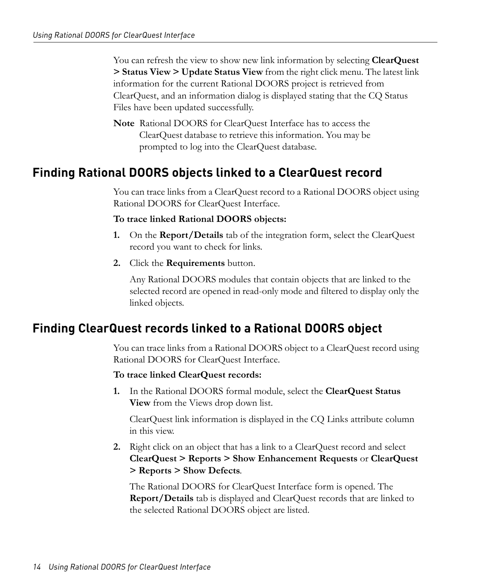You can refresh the view to show new link information by selecting **ClearQuest > Status View > Update Status View** from the right click menu. The latest link information for the current Rational DOORS project is retrieved from ClearQuest, and an information dialog is displayed stating that the CQ Status Files have been updated successfully.

**Note** Rational DOORS for ClearQuest Interface has to access the ClearQuest database to retrieve this information. You may be prompted to log into the ClearQuest database.

## <span id="page-19-3"></span><span id="page-19-0"></span>**Finding Rational DOORS objects linked to a ClearQuest record**

You can trace links from a ClearQuest record to a Rational DOORS object using Rational DOORS for ClearQuest Interface.

#### **To trace linked Rational DOORS objects:**

- **1.** On the **Report/Details** tab of the integration form, select the ClearQuest record you want to check for links.
- **2.** Click the **Requirements** button.

Any Rational DOORS modules that contain objects that are linked to the selected record are opened in read-only mode and filtered to display only the linked objects.

## <span id="page-19-2"></span><span id="page-19-1"></span>**Finding ClearQuest records linked to a Rational DOORS object**

You can trace links from a Rational DOORS object to a ClearQuest record using Rational DOORS for ClearQuest Interface.

#### **To trace linked ClearQuest records:**

**1.** In the Rational DOORS formal module, select the **ClearQuest Status View** from the Views drop down list.

ClearQuest link information is displayed in the CQ Links attribute column in this view.

**2.** Right click on an object that has a link to a ClearQuest record and select **ClearQuest > Reports > Show Enhancement Requests** or **ClearQuest > Reports > Show Defects**.

The Rational DOORS for ClearQuest Interface form is opened. The **Report/Details** tab is displayed and ClearQuest records that are linked to the selected Rational DOORS object are listed.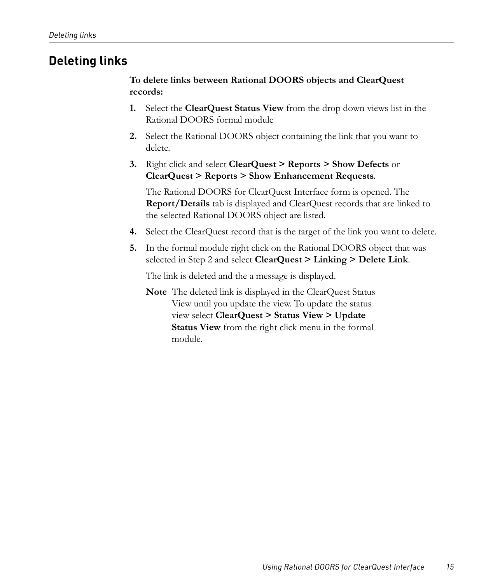## <span id="page-20-2"></span><span id="page-20-1"></span><span id="page-20-0"></span>**Deleting links**

#### **To delete links between Rational DOORS objects and ClearQuest records:**

- **1.** Select the **ClearQuest Status View** from the drop down views list in the Rational DOORS formal module
- **2.** Select the Rational DOORS object containing the link that you want to delete.
- **3.** Right click and select **ClearQuest > Reports > Show Defects** or **ClearQuest > Reports > Show Enhancement Requests**.

The Rational DOORS for ClearQuest Interface form is opened. The **Report/Details** tab is displayed and ClearQuest records that are linked to the selected Rational DOORS object are listed.

- **4.** Select the ClearQuest record that is the target of the link you want to delete.
- **5.** In the formal module right click on the Rational DOORS object that was selected in [Step 2](#page-20-1) and select **ClearQuest > Linking > Delete Link**.

The link is deleted and the a message is displayed.

**Note** The deleted link is displayed in the ClearQuest Status View until you update the view. To update the status view select **ClearQuest > Status View > Update Status View** from the right click menu in the formal module.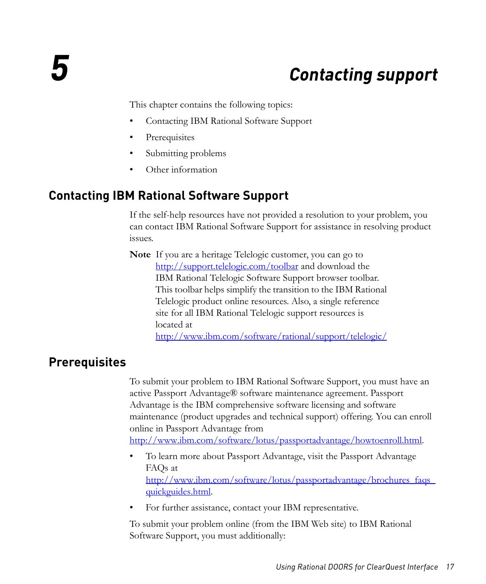## *5 Contacting support*

<span id="page-22-0"></span>This chapter contains the following topics:

- [Contacting IBM Rational Software Support](#page-22-1)
- **[Prerequisites](#page-22-2)**
- [Submitting problems](#page-23-0)
- <span id="page-22-3"></span>• [Other information](#page-25-0)

### <span id="page-22-1"></span>**Contacting IBM Rational Software Support**

If the self-help resources have not provided a resolution to your problem, you can contact IBM Rational Software Support for assistance in resolving product issues.

**Note** If you are a heritage Telelogic customer, you can go to http://support.telelogic.com/toolbar and download the IBM Rational Telelogic Software Support browser toolbar. This toolbar helps simplify the transition to the IBM Rational Telelogic product online resources. Also, a single reference site for all IBM Rational Telelogic support resources is located at

http://www.ibm.com/software/rational/support/telelogic/

### <span id="page-22-2"></span>**Prerequisites**

To submit your problem to IBM Rational Software Support, you must have an active Passport Advantage® software maintenance agreement. Passport Advantage is the IBM comprehensive software licensing and software maintenance (product upgrades and technical support) offering. You can enroll online in Passport Advantage from

http://www.ibm.com/software/lotus/passportadvantage/howtoenroll.html.

- To learn more about Passport Advantage, visit the Passport Advantage FAQs at http://www.ibm.com/software/lotus/passportadvantage/brochures\_faqs\_ quickguides.html.
- For further assistance, contact your IBM representative.

To submit your problem online (from the IBM Web site) to IBM Rational Software Support, you must additionally: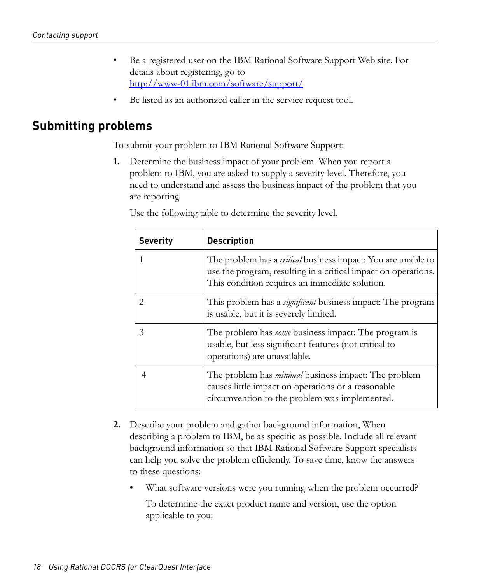- Be a registered user on the IBM Rational Software Support Web site. For details about registering, go to http://www-01.ibm.com/software/support/.
- Be listed as an authorized caller in the service request tool.

### <span id="page-23-0"></span>**Submitting problems**

To submit your problem to IBM Rational Software Support:

**1.** Determine the business impact of your problem. When you report a problem to IBM, you are asked to supply a severity level. Therefore, you need to understand and assess the business impact of the problem that you are reporting.

Use the following table to determine the severity level.

| <b>Severity</b> | <b>Description</b>                                                                                                                                                                       |
|-----------------|------------------------------------------------------------------------------------------------------------------------------------------------------------------------------------------|
| 1               | The problem has a <i>critical</i> business impact: You are unable to<br>use the program, resulting in a critical impact on operations.<br>This condition requires an immediate solution. |
| $\mathfrak{D}$  | This problem has a <i>significant</i> business impact: The program<br>is usable, but it is severely limited.                                                                             |
| 3               | The problem has <i>some</i> business impact: The program is<br>usable, but less significant features (not critical to<br>operations) are unavailable.                                    |
|                 | The problem has <i>minimal</i> business impact: The problem<br>causes little impact on operations or a reasonable<br>circumvention to the problem was implemented.                       |

- **2.** Describe your problem and gather background information, When describing a problem to IBM, be as specific as possible. Include all relevant background information so that IBM Rational Software Support specialists can help you solve the problem efficiently. To save time, know the answers to these questions:
	- What software versions were you running when the problem occurred? To determine the exact product name and version, use the option

applicable to you: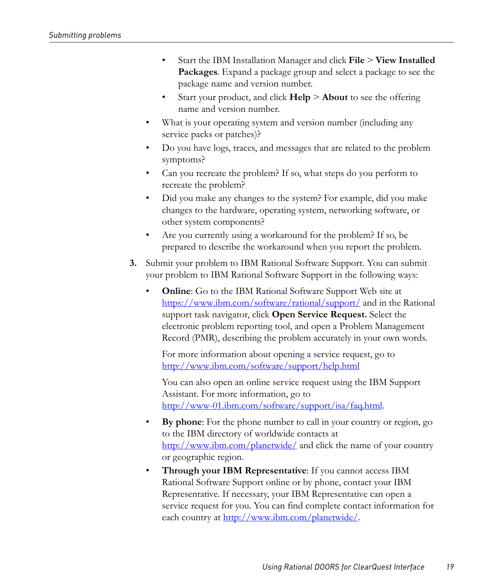- Start the IBM Installation Manager and click **File** > **View Installed Packages**. Expand a package group and select a package to see the package name and version number.
- Start your product, and click **Help** > **About** to see the offering name and version number.
- What is your operating system and version number (including any service packs or patches)?
- Do you have logs, traces, and messages that are related to the problem symptoms?
- Can you recreate the problem? If so, what steps do you perform to recreate the problem?
- Did you make any changes to the system? For example, did you make changes to the hardware, operating system, networking software, or other system components?
- Are you currently using a workaround for the problem? If so, be prepared to describe the workaround when you report the problem.
- **3.** Submit your problem to IBM Rational Software Support. You can submit your problem to IBM Rational Software Support in the following ways:
	- **Online**: Go to the IBM Rational Software Support Web site at https://www.ibm.com/software/rational/support/ and in the Rational support task navigator, click **Open Service Request.** Select the electronic problem reporting tool, and open a Problem Management Record (PMR), describing the problem accurately in your own words.

For more information about opening a service request, go to http://www.ibm.com/software/support/help.html

You can also open an online service request using the IBM Support Assistant. For more information, go to http://www-01.ibm.com/software/support/isa/faq.html.

- **By phone**: For the phone number to call in your country or region, go to the IBM directory of worldwide contacts at http://www.ibm.com/planetwide/ and click the name of your country or geographic region.
- **Through your IBM Representative:** If you cannot access IBM Rational Software Support online or by phone, contact your IBM Representative. If necessary, your IBM Representative can open a service request for you. You can find complete contact information for each country at http://www.ibm.com/planetwide/.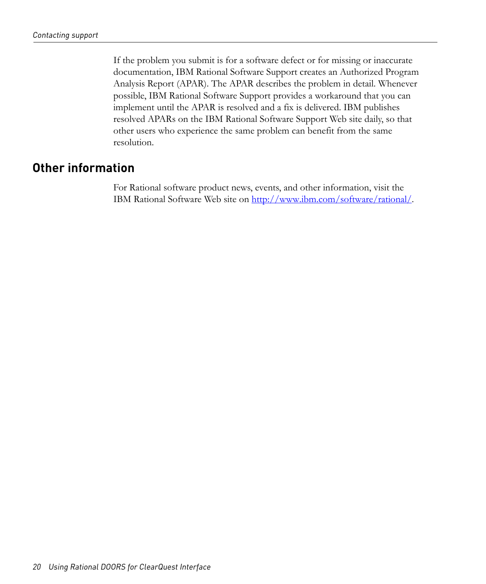If the problem you submit is for a software defect or for missing or inaccurate documentation, IBM Rational Software Support creates an Authorized Program Analysis Report (APAR). The APAR describes the problem in detail. Whenever possible, IBM Rational Software Support provides a workaround that you can implement until the APAR is resolved and a fix is delivered. IBM publishes resolved APARs on the IBM Rational Software Support Web site daily, so that other users who experience the same problem can benefit from the same resolution.

## <span id="page-25-0"></span>**Other information**

For Rational software product news, events, and other information, visit the IBM Rational Software Web site on http://www.ibm.com/software/rational/.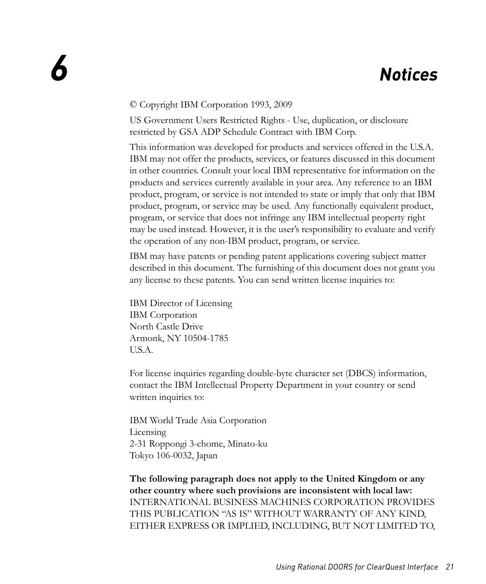#### <span id="page-26-1"></span><span id="page-26-0"></span>© Copyright IBM Corporation 1993, 2009

US Government Users Restricted Rights - Use, duplication, or disclosure restricted by GSA ADP Schedule Contract with IBM Corp.

This information was developed for products and services offered in the U.S.A. IBM may not offer the products, services, or features discussed in this document in other countries. Consult your local IBM representative for information on the products and services currently available in your area. Any reference to an IBM product, program, or service is not intended to state or imply that only that IBM product, program, or service may be used. Any functionally equivalent product, program, or service that does not infringe any IBM intellectual property right may be used instead. However, it is the user's responsibility to evaluate and verify the operation of any non-IBM product, program, or service.

IBM may have patents or pending patent applications covering subject matter described in this document. The furnishing of this document does not grant you any license to these patents. You can send written license inquiries to:

IBM Director of Licensing IBM Corporation North Castle Drive Armonk, NY 10504-1785 U.S.A.

For license inquiries regarding double-byte character set (DBCS) information, contact the IBM Intellectual Property Department in your country or send written inquiries to:

IBM World Trade Asia Corporation Licensing 2-31 Roppongi 3-chome, Minato-ku Tokyo 106-0032, Japan

**The following paragraph does not apply to the United Kingdom or any other country where such provisions are inconsistent with local law:** INTERNATIONAL BUSINESS MACHINES CORPORATION PROVIDES THIS PUBLICATION "AS IS" WITHOUT WARRANTY OF ANY KIND, EITHER EXPRESS OR IMPLIED, INCLUDING, BUT NOT LIMITED TO,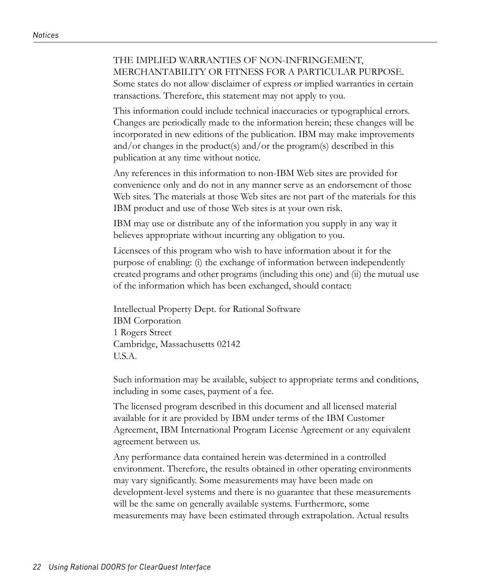## THE IMPLIED WARRANTIES OF NON-INFRINGEMENT, MERCHANTABILITY OR FITNESS FOR A PARTICULAR PURPOSE.

Some states do not allow disclaimer of express or implied warranties in certain transactions. Therefore, this statement may not apply to you.

This information could include technical inaccuracies or typographical errors. Changes are periodically made to the information herein; these changes will be incorporated in new editions of the publication. IBM may make improvements and/or changes in the product(s) and/or the program(s) described in this publication at any time without notice.

Any references in this information to non-IBM Web sites are provided for convenience only and do not in any manner serve as an endorsement of those Web sites. The materials at those Web sites are not part of the materials for this IBM product and use of those Web sites is at your own risk.

IBM may use or distribute any of the information you supply in any way it believes appropriate without incurring any obligation to you.

Licensees of this program who wish to have information about it for the purpose of enabling: (i) the exchange of information between independently created programs and other programs (including this one) and (ii) the mutual use of the information which has been exchanged, should contact:

Intellectual Property Dept. for Rational Software IBM Corporation 1 Rogers Street Cambridge, Massachusetts 02142 U.S.A.

Such information may be available, subject to appropriate terms and conditions, including in some cases, payment of a fee.

The licensed program described in this document and all licensed material available for it are provided by IBM under terms of the IBM Customer Agreement, IBM International Program License Agreement or any equivalent agreement between us.

Any performance data contained herein was determined in a controlled environment. Therefore, the results obtained in other operating environments may vary significantly. Some measurements may have been made on development-level systems and there is no guarantee that these measurements will be the same on generally available systems. Furthermore, some measurements may have been estimated through extrapolation. Actual results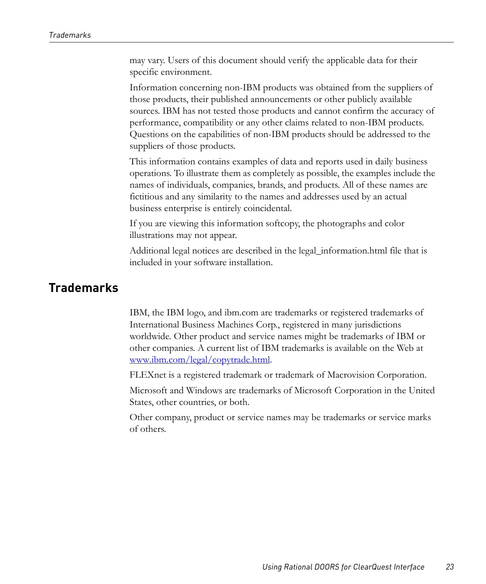may vary. Users of this document should verify the applicable data for their specific environment.

Information concerning non-IBM products was obtained from the suppliers of those products, their published announcements or other publicly available sources. IBM has not tested those products and cannot confirm the accuracy of performance, compatibility or any other claims related to non-IBM products. Questions on the capabilities of non-IBM products should be addressed to the suppliers of those products.

This information contains examples of data and reports used in daily business operations. To illustrate them as completely as possible, the examples include the names of individuals, companies, brands, and products. All of these names are fictitious and any similarity to the names and addresses used by an actual business enterprise is entirely coincidental.

If you are viewing this information softcopy, the photographs and color illustrations may not appear.

Additional legal notices are described in the legal\_information.html file that is included in your software installation.

### <span id="page-28-0"></span>**Trademarks**

IBM, the IBM logo, and ibm.com are trademarks or registered trademarks of International Business Machines Corp., registered in many jurisdictions worldwide. Other product and service names might be trademarks of IBM or other companies. A current list of IBM trademarks is available on the Web at www.ibm.com/legal/copytrade.html.

FLEXnet is a registered trademark or trademark of Macrovision Corporation.

Microsoft and Windows are trademarks of Microsoft Corporation in the United States, other countries, or both.

Other company, product or service names may be trademarks or service marks of others.